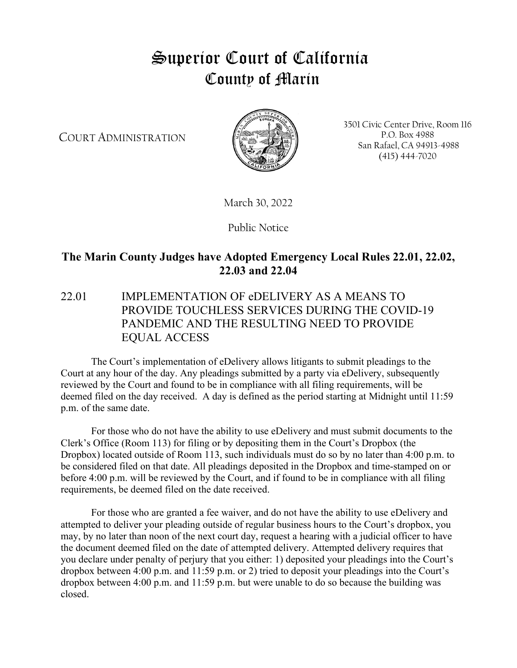# Superior Court of California County of Marin

COURT ADMINISTRATION



3501 Civic Center Drive, Room 116 P.O. Box 4988 San Rafael, CA 94913-4988 (415) 444-7020

March 30, 2022

Public Notice

# **The Marin County Judges have Adopted Emergency Local Rules 22.01, 22.02, 22.03 and 22.04**

## 22.01 IMPLEMENTATION OF eDELIVERY AS A MEANS TO PROVIDE TOUCHLESS SERVICES DURING THE COVID-19 PANDEMIC AND THE RESULTING NEED TO PROVIDE EQUAL ACCESS

The Court's implementation of eDelivery allows litigants to submit pleadings to the Court at any hour of the day. Any pleadings submitted by a party via eDelivery, subsequently reviewed by the Court and found to be in compliance with all filing requirements, will be deemed filed on the day received. A day is defined as the period starting at Midnight until 11:59 p.m. of the same date.

For those who do not have the ability to use eDelivery and must submit documents to the Clerk's Office (Room 113) for filing or by depositing them in the Court's Dropbox (the Dropbox) located outside of Room 113, such individuals must do so by no later than 4:00 p.m. to be considered filed on that date. All pleadings deposited in the Dropbox and time-stamped on or before 4:00 p.m. will be reviewed by the Court, and if found to be in compliance with all filing requirements, be deemed filed on the date received.

For those who are granted a fee waiver, and do not have the ability to use eDelivery and attempted to deliver your pleading outside of regular business hours to the Court's dropbox, you may, by no later than noon of the next court day, request a hearing with a judicial officer to have the document deemed filed on the date of attempted delivery. Attempted delivery requires that you declare under penalty of perjury that you either: 1) deposited your pleadings into the Court's dropbox between 4:00 p.m. and 11:59 p.m. or 2) tried to deposit your pleadings into the Court's dropbox between 4:00 p.m. and 11:59 p.m. but were unable to do so because the building was closed.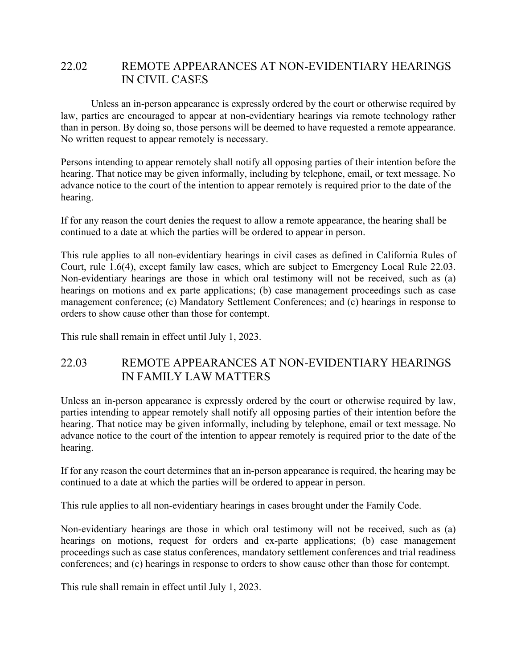#### 22.02 REMOTE APPEARANCES AT NON-EVIDENTIARY HEARINGS IN CIVIL CASES

Unless an in-person appearance is expressly ordered by the court or otherwise required by law, parties are encouraged to appear at non-evidentiary hearings via remote technology rather than in person. By doing so, those persons will be deemed to have requested a remote appearance. No written request to appear remotely is necessary.

Persons intending to appear remotely shall notify all opposing parties of their intention before the hearing. That notice may be given informally, including by telephone, email, or text message. No advance notice to the court of the intention to appear remotely is required prior to the date of the hearing.

If for any reason the court denies the request to allow a remote appearance, the hearing shall be continued to a date at which the parties will be ordered to appear in person.

This rule applies to all non-evidentiary hearings in civil cases as defined in California Rules of Court, rule 1.6(4), except family law cases, which are subject to Emergency Local Rule 22.03. Non-evidentiary hearings are those in which oral testimony will not be received, such as (a) hearings on motions and ex parte applications; (b) case management proceedings such as case management conference; (c) Mandatory Settlement Conferences; and (c) hearings in response to orders to show cause other than those for contempt.

This rule shall remain in effect until July 1, 2023.

## 22.03 REMOTE APPEARANCES AT NON-EVIDENTIARY HEARINGS IN FAMILY LAW MATTERS

Unless an in-person appearance is expressly ordered by the court or otherwise required by law, parties intending to appear remotely shall notify all opposing parties of their intention before the hearing. That notice may be given informally, including by telephone, email or text message. No advance notice to the court of the intention to appear remotely is required prior to the date of the hearing.

If for any reason the court determines that an in-person appearance is required, the hearing may be continued to a date at which the parties will be ordered to appear in person.

This rule applies to all non-evidentiary hearings in cases brought under the Family Code.

Non-evidentiary hearings are those in which oral testimony will not be received, such as (a) hearings on motions, request for orders and ex-parte applications; (b) case management proceedings such as case status conferences, mandatory settlement conferences and trial readiness conferences; and (c) hearings in response to orders to show cause other than those for contempt.

This rule shall remain in effect until July 1, 2023.